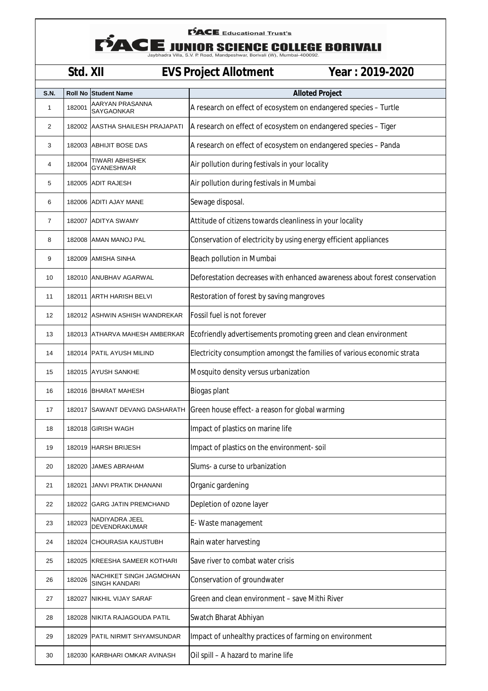## **FACE** Educational Trust's

**EXAMPLE Educational Trust's<br>SCIENCE COLLEGE BORIVALI**<br>Jaybhadra Villa, S.V. P. Road, Mandpeshwar, Borivali (W), Mumbai-400092.

## **Std. XII EVS Project Allotment Year : 2019-2020**

| S.N. |        | <b>Roll No Student Name</b>              | <b>Alloted Project</b>                                                    |
|------|--------|------------------------------------------|---------------------------------------------------------------------------|
| 1    | 182001 | AARYAN PRASANNA<br>SAYGAONKAR            | A research on effect of ecosystem on endangered species - Turtle          |
| 2    | 182002 | AASTHA SHAILESH PRAJAPATI                | A research on effect of ecosystem on endangered species - Tiger           |
| 3    |        | 182003 ABHIJIT BOSE DAS                  | A research on effect of ecosystem on endangered species - Panda           |
| 4    | 182004 | TIWARI ABHISHEK<br><b>GYANESHWAR</b>     | Air pollution during festivals in your locality                           |
| 5    |        | 182005 ADIT RAJESH                       | Air pollution during festivals in Mumbai                                  |
| 6    |        | 182006 ADITI AJAY MANE                   | Sewage disposal.                                                          |
| 7    |        | 182007 ADITYA SWAMY                      | Attitude of citizens towards cleanliness in your locality                 |
| 8    |        | 182008 AMAN MANOJ PAL                    | Conservation of electricity by using energy efficient appliances          |
| 9    |        | 182009 AMISHA SINHA                      | Beach pollution in Mumbai                                                 |
| 10   |        | 182010 ANUBHAV AGARWAL                   | Deforestation decreases with enhanced awareness about forest conservation |
| 11   |        | 182011 ARTH HARISH BELVI                 | Restoration of forest by saving mangroves                                 |
| 12   |        | 182012 ASHWIN ASHISH WANDREKAR           | Fossil fuel is not forever                                                |
| 13   |        | 182013 ATHARVA MAHESH AMBERKAR           | Ecofriendly advertisements promoting green and clean environment          |
| 14   |        | 182014 PATIL AYUSH MILIND                | Electricity consumption amongst the families of various economic strata   |
| 15   |        | 182015 AYUSH SANKHE                      | Mosquito density versus urbanization                                      |
| 16   |        | 182016 BHARAT MAHESH                     | Biogas plant                                                              |
| 17   |        | 182017 SAWANT DEVANG DASHARATH           | Green house effect- a reason for global warming                           |
| 18   | 182018 | <b>GIRISH WAGH</b>                       | Impact of plastics on marine life                                         |
| 19   |        | 182019 HARSH BRIJESH                     | Impact of plastics on the environment-soil                                |
| 20   | 182020 | JAMES ABRAHAM                            | Slums- a curse to urbanization                                            |
| 21   | 182021 | JANVI PRATIK DHANANI                     | Organic gardening                                                         |
| 22   |        | 182022 GARG JATIN PREMCHAND              | Depletion of ozone layer                                                  |
| 23   | 182023 | NADIYADRA JEEL<br><b>DEVENDRAKUMAR</b>   | E- Waste management                                                       |
| 24   | 182024 | CHOURASIA KAUSTUBH                       | Rain water harvesting                                                     |
| 25   |        | 182025 KREESHA SAMEER KOTHARI            | Save river to combat water crisis                                         |
| 26   | 182026 | NACHIKET SINGH JAGMOHAN<br>SINGH KANDARI | Conservation of groundwater                                               |
| 27   | 182027 | NIKHIL VIJAY SARAF                       | Green and clean environment - save Mithi River                            |
| 28   |        | 182028   NIKITA RAJAGOUDA PATIL          | Swatch Bharat Abhiyan                                                     |
| 29   | 182029 | PATIL NIRMIT SHYAMSUNDAR                 | Impact of unhealthy practices of farming on environment                   |
| 30   |        | 182030 KARBHARI OMKAR AVINASH            | Oil spill - A hazard to marine life                                       |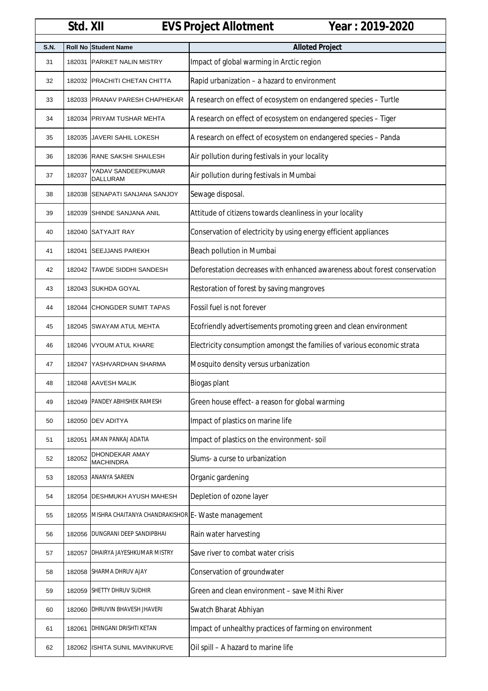|      | Std. XII |                                     | Year: 2019-2020<br><b>EVS Project Allotment</b>                           |
|------|----------|-------------------------------------|---------------------------------------------------------------------------|
| S.N. |          | Roll No Student Name                | <b>Alloted Project</b>                                                    |
| 31   | 182031   | <b>PARIKET NALIN MISTRY</b>         | Impact of global warming in Arctic region                                 |
| 32   |          | 182032 PRACHITI CHETAN CHITTA       | Rapid urbanization - a hazard to environment                              |
| 33   |          | 182033 PRANAV PARESH CHAPHEKAR      | A research on effect of ecosystem on endangered species - Turtle          |
| 34   |          | 182034 PRIYAM TUSHAR MEHTA          | A research on effect of ecosystem on endangered species - Tiger           |
| 35   | 182035   | <b>JAVERI SAHIL LOKESH</b>          | A research on effect of ecosystem on endangered species - Panda           |
| 36   |          | 182036 RANE SAKSHI SHAILESH         | Air pollution during festivals in your locality                           |
| 37   | 182037   | YADAV SANDEEPKUMAR<br>DALLURAM      | Air pollution during festivals in Mumbai                                  |
| 38   | 182038   | SENAPATI SANJANA SANJOY             | Sewage disposal.                                                          |
| 39   | 182039   | SHINDE SANJANA ANIL                 | Attitude of citizens towards cleanliness in your locality                 |
| 40   |          | 182040 SATYAJIT RAY                 | Conservation of electricity by using energy efficient appliances          |
| 41   |          | 182041 SEEJJANS PAREKH              | Beach pollution in Mumbai                                                 |
| 42   |          | 182042 TAWDE SIDDHI SANDESH         | Deforestation decreases with enhanced awareness about forest conservation |
| 43   |          | 182043 SUKHDA GOYAL                 | Restoration of forest by saving mangroves                                 |
| 44   |          | 182044 CHONGDER SUMIT TAPAS         | Fossil fuel is not forever                                                |
| 45   |          | 182045 SWAYAM ATUL MEHTA            | Ecofriendly advertisements promoting green and clean environment          |
| 46   |          | 182046 VYOUM ATUL KHARE             | Electricity consumption amongst the families of various economic strata   |
| 47   | 182047   | YASHVARDHAN SHARMA                  | Mosquito density versus urbanization                                      |
| 48   |          | 182048 AAVESH MALIK                 | Biogas plant                                                              |
| 49   | 182049   | PANDEY ABHISHEK RAMESH              | Green house effect- a reason for global warming                           |
| 50   | 182050   | <b>DEV ADITYA</b>                   | Impact of plastics on marine life                                         |
| 51   | 182051   | AMAN PANKAJ ADATIA                  | Impact of plastics on the environment-soil                                |
| 52   | 182052   | DHONDEKAR AMAY<br>MACHINDRA         | Slums- a curse to urbanization                                            |
| 53   | 182053   | ANANYA SAREEN                       | Organic gardening                                                         |
| 54   | 182054   | <b>DESHMUKH AYUSH MAHESH</b>        | Depletion of ozone layer                                                  |
| 55   | 182055   | MISHRA CHAITANYA CHANDRAKISHOR      | E- Waste management                                                       |
| 56   | 182056   | DUNGRANI DEEP SANDIPBHAI            | Rain water harvesting                                                     |
| 57   |          | 182057   DHAIRYA JAYESHKUMAR MISTRY | Save river to combat water crisis                                         |
| 58   |          | 182058 SHARMA DHRUV AJAY            | Conservation of groundwater                                               |
| 59   |          | 182059 SHETTY DHRUV SUDHIR          | Green and clean environment - save Mithi River                            |
| 60   | 182060   | <b>DHRUVIN BHAVESH JHAVERI</b>      | Swatch Bharat Abhiyan                                                     |
| 61   | 182061   | DHINGANI DRISHTI KETAN              | Impact of unhealthy practices of farming on environment                   |
| 62   |          | 182062 ISHITA SUNIL MAVINKURVE      | Oil spill - A hazard to marine life                                       |

 $\mathbf{I}$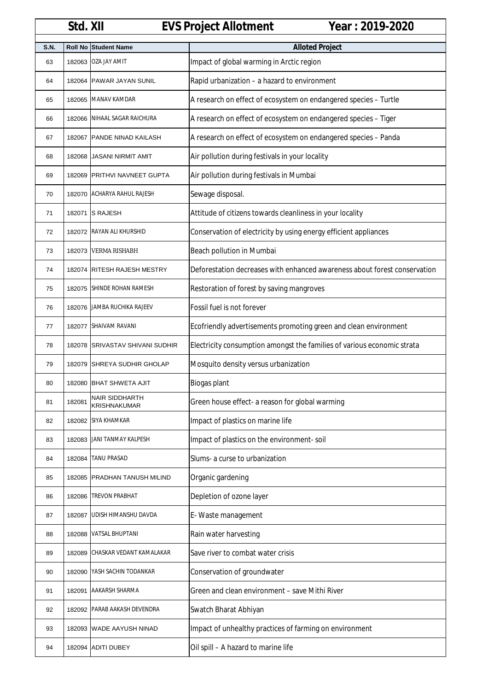|             | Std. XII       |                                       | <b>EVS Project Allotment</b><br>Year: 2019-2020                           |
|-------------|----------------|---------------------------------------|---------------------------------------------------------------------------|
| <b>S.N.</b> | <b>Roll No</b> | <b>Student Name</b>                   | <b>Alloted Project</b>                                                    |
| 63          | 182063         | <b>OZA JAY AMIT</b>                   | Impact of global warming in Arctic region                                 |
| 64          |                | 182064 PAWAR JAYAN SUNIL              | Rapid urbanization - a hazard to environment                              |
| 65          |                | 182065 MANAV KAMDAR                   | A research on effect of ecosystem on endangered species - Turtle          |
| 66          | 182066         | NIHAAL SAGAR RAICHURA                 | A research on effect of ecosystem on endangered species - Tiger           |
| 67          | 182067         | PANDE NINAD KAILASH                   | A research on effect of ecosystem on endangered species - Panda           |
| 68          | 182068         | <b>JASANI NIRMIT AMIT</b>             | Air pollution during festivals in your locality                           |
| 69          |                | 182069 PRITHVI NAVNEET GUPTA          | Air pollution during festivals in Mumbai                                  |
| 70          |                | 182070 ACHARYA RAHUL RAJESH           | Sewage disposal.                                                          |
| 71          | 182071         | <b>S RAJESH</b>                       | Attitude of citizens towards cleanliness in your locality                 |
| 72          |                | 182072 RAYAN ALI KHURSHID             | Conservation of electricity by using energy efficient appliances          |
| 73          | 182073         | <b>VERMA RISHABH</b>                  | Beach pollution in Mumbai                                                 |
| 74          | 182074         | <b>RITESH RAJESH MESTRY</b>           | Deforestation decreases with enhanced awareness about forest conservation |
| 75          |                | 182075 SHINDE ROHAN RAMESH            | Restoration of forest by saving mangroves                                 |
| 76          |                | 182076 JAMBA RUCHIKA RAJEEV           | Fossil fuel is not forever                                                |
| 77          |                | 182077 SHAIVAM RAVANI                 | Ecofriendly advertisements promoting green and clean environment          |
| 78          | 182078         | <b>SRIVASTAV SHIVANI SUDHIR</b>       | Electricity consumption amongst the families of various economic strata   |
| 79          | 182079         | SHREYA SUDHIR GHOLAP                  | Mosquito density versus urbanization                                      |
| 80          |                | 182080 BHAT SHWETA AJIT               | Biogas plant                                                              |
| 81          | 182081         | NAIR SIDDHARTH<br><b>KRISHNAKUMAR</b> | Green house effect- a reason for global warming                           |
| 82          |                | 182082 SIYA KHAMKAR                   | Impact of plastics on marine life                                         |
| 83          |                | 182083 JANI TANMAY KALPESH            | Impact of plastics on the environment-soil                                |
| 84          | 182084         | <b>TANU PRASAD</b>                    | Slums- a curse to urbanization                                            |
| 85          | 182085         | <b>PRADHAN TANUSH MILIND</b>          | Organic gardening                                                         |
| 86          | 182086         | <b>TREVON PRABHAT</b>                 | Depletion of ozone layer                                                  |
| 87          | 182087         | UDISH HIMANSHU DAVDA                  | E- Waste management                                                       |
| 88          | 182088         | VATSAL BHUPTANI                       | Rain water harvesting                                                     |
| 89          | 182089         | CHASKAR VEDANT KAMALAKAR              | Save river to combat water crisis                                         |
| 90          |                | 182090 YASH SACHIN TODANKAR           | Conservation of groundwater                                               |
| 91          | 182091         | AAKARSH SHARMA                        | Green and clean environment - save Mithi River                            |
| 92          | 182092         | PARAB AAKASH DEVENDRA                 | Swatch Bharat Abhiyan                                                     |
| 93          |                | 182093 WADE AAYUSH NINAD              | Impact of unhealthy practices of farming on environment                   |
| 94          |                | 182094 ADITI DUBEY                    | Oil spill - A hazard to marine life                                       |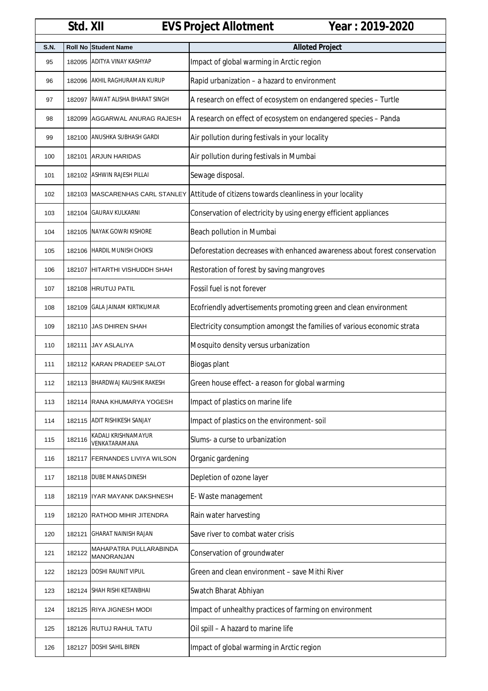|             | Std. XII       |                                             | Year: 2019-2020<br><b>EVS Project Allotment</b>                           |
|-------------|----------------|---------------------------------------------|---------------------------------------------------------------------------|
| <b>S.N.</b> | <b>Roll No</b> | <b>Student Name</b>                         | <b>Alloted Project</b>                                                    |
| 95          | 182095         | <b>ADITYA VINAY KASHYAP</b>                 | Impact of global warming in Arctic region                                 |
| 96          |                | 182096 AKHIL RAGHURAMAN KURUP               | Rapid urbanization - a hazard to environment                              |
| 97          | 182097         | RAWAT ALISHA BHARAT SINGH                   | A research on effect of ecosystem on endangered species - Turtle          |
| 98          | 182099         | AGGARWAL ANURAG RAJESH                      | A research on effect of ecosystem on endangered species - Panda           |
| 99          |                | 182100 ANUSHKA SUBHASH GARDI                | Air pollution during festivals in your locality                           |
| 100         |                | 182101 ARJUN HARIDAS                        | Air pollution during festivals in Mumbai                                  |
| 101         |                | 182102 ASHWIN RAJESH PILLAI                 | Sewage disposal.                                                          |
| 102         |                | 182103 MASCARENHAS CARL STANLEY             | Attitude of citizens towards cleanliness in your locality                 |
| 103         | 182104         | <b>GAURAV KULKARNI</b>                      | Conservation of electricity by using energy efficient appliances          |
| 104         | 182105         | NAYAK GOWRI KISHORE                         | Beach pollution in Mumbai                                                 |
| 105         |                | 182106 HARDIL MUNISH CHOKSI                 | Deforestation decreases with enhanced awareness about forest conservation |
| 106         |                | 182107 HITARTHI VISHUDDH SHAH               | Restoration of forest by saving mangroves                                 |
| 107         |                | 182108 HRUTUJ PATIL                         | Fossil fuel is not forever                                                |
| 108         | 182109         | <b>GALA JAINAM KIRTIKUMAR</b>               | Ecofriendly advertisements promoting green and clean environment          |
| 109         | 182110         | JAS DHIREN SHAH                             | Electricity consumption amongst the families of various economic strata   |
| 110         | 182111         | <b>JAY ASLALIYA</b>                         | Mosquito density versus urbanization                                      |
| 111         |                | 182112 KARAN PRADEEP SALOT                  | Biogas plant                                                              |
| 112         |                | 182113 BHARDWAJ KAUSHIK RAKESH              | Green house effect- a reason for global warming                           |
| 113         |                | 182114 RANA KHUMARYA YOGESH                 | Impact of plastics on marine life                                         |
| 114         |                | 182115 ADIT RISHIKESH SANJAY                | Impact of plastics on the environment-soil                                |
| 115         | 182116         | KADALI KRISHNAMAYUR<br>VENKATARAMANA        | Slums- a curse to urbanization                                            |
| 116         | 182117         | <b>FERNANDES LIVIYA WILSON</b>              | Organic gardening                                                         |
| 117         |                | 182118   DUBE MANAS DINESH                  | Depletion of ozone layer                                                  |
| 118         |                | 182119 IYAR MAYANK DAKSHNESH                | E- Waste management                                                       |
| 119         |                | 182120 RATHOD MIHIR JITENDRA                | Rain water harvesting                                                     |
| 120         |                | 182121 GHARAT NAINISH RAJAN                 | Save river to combat water crisis                                         |
| 121         | 182122         | MAHAPATRA PULLARABINDA<br><b>MANORANJAN</b> | Conservation of groundwater                                               |
| 122         | 182123         | DOSHI RAUNIT VIPUL                          | Green and clean environment - save Mithi River                            |
| 123         |                | 182124 SHAH RISHI KETANBHAI                 | Swatch Bharat Abhiyan                                                     |
| 124         |                | 182125 RIYA JIGNESH MODI                    | Impact of unhealthy practices of farming on environment                   |
| 125         |                | 182126 RUTUJ RAHUL TATU                     | Oil spill - A hazard to marine life                                       |
| 126         |                | 182127 DOSHI SAHIL BIREN                    | Impact of global warming in Arctic region                                 |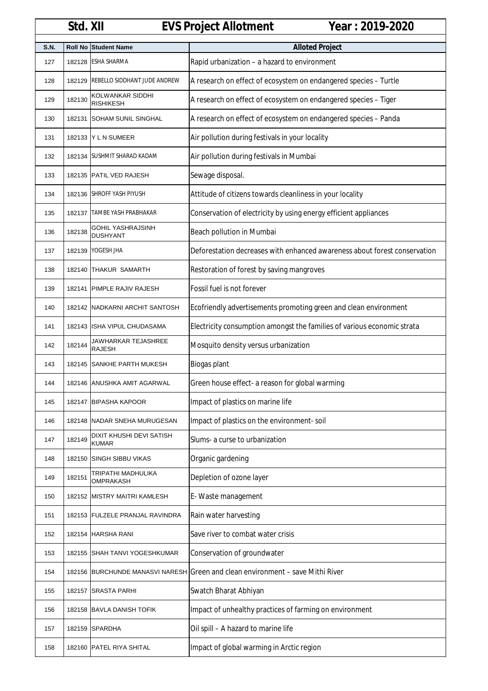|             | Std. XII       |                                             | Year: 2019-2020<br><b>EVS Project Allotment</b>                           |
|-------------|----------------|---------------------------------------------|---------------------------------------------------------------------------|
| <b>S.N.</b> | <b>Roll No</b> | <b>Student Name</b>                         | <b>Alloted Project</b>                                                    |
| 127         | 182128         | <b>ESHA SHARMA</b>                          | Rapid urbanization - a hazard to environment                              |
| 128         | 182129         | <b>REBELLO SIDDHANT JUDE ANDREW</b>         | A research on effect of ecosystem on endangered species - Turtle          |
| 129         | 182130         | KOLWANKAR SIDDHI<br><b>RISHIKESH</b>        | A research on effect of ecosystem on endangered species - Tiger           |
| 130         | 182131         | <b>SOHAM SUNIL SINGHAL</b>                  | A research on effect of ecosystem on endangered species - Panda           |
| 131         |                | 182133 Y L N SUMEER                         | Air pollution during festivals in your locality                           |
| 132         |                | 182134 SUSHMIT SHARAD KADAM                 | Air pollution during festivals in Mumbai                                  |
| 133         |                | 182135 PATIL VED RAJESH                     | Sewage disposal.                                                          |
| 134         | 182136         | <b>SHROFF YASH PIYUSH</b>                   | Attitude of citizens towards cleanliness in your locality                 |
| 135         | 182137         | TAMBE YASH PRABHAKAR                        | Conservation of electricity by using energy efficient appliances          |
| 136         | 182138         | <b>GOHIL YASHRAJSINH</b><br><b>DUSHYANT</b> | Beach pollution in Mumbai                                                 |
| 137         | 182139         | YOGESH JHA                                  | Deforestation decreases with enhanced awareness about forest conservation |
| 138         | 182140         | THAKUR SAMARTH                              | Restoration of forest by saving mangroves                                 |
| 139         |                | 182141 PIMPLE RAJIV RAJESH                  | Fossil fuel is not forever                                                |
| 140         |                | 182142 NADKARNI ARCHIT SANTOSH              | Ecofriendly advertisements promoting green and clean environment          |
| 141         | 182143         | ISHA VIPUL CHUDASAMA                        | Electricity consumption amongst the families of various economic strata   |
| 142         | 182144         | JAWHARKAR TEJASHREE<br><b>RAJESH</b>        | Mosquito density versus urbanization                                      |
| 143         | 182145         | SANKHE PARTH MUKESH                         | Biogas plant                                                              |
| 144         |                | 182146 ANUSHKA AMIT AGARWAL                 | Green house effect- a reason for global warming                           |
| 145         | 182147         | <b>BIPASHA KAPOOR</b>                       | Impact of plastics on marine life                                         |
| 146         |                | 182148 NADAR SNEHA MURUGESAN                | Impact of plastics on the environment-soil                                |
| 147         | 182149         | DIXIT KHUSHI DEVI SATISH<br><b>KUMAR</b>    | Slums- a curse to urbanization                                            |
| 148         | 182150         | <b>SINGH SIBBU VIKAS</b>                    | Organic gardening                                                         |
| 149         | 182151         | TRIPATHI MADHULIKA<br>OMPRAKASH             | Depletion of ozone layer                                                  |
| 150         |                | 182152 MISTRY MAITRI KAMLESH                | E- Waste management                                                       |
| 151         |                | 182153 FULZELE PRANJAL RAVINDRA             | Rain water harvesting                                                     |
| 152         |                | 182154 HARSHA RANI                          | Save river to combat water crisis                                         |
| 153         | 182155         | <b>SHAH TANVI YOGESHKUMAR</b>               | Conservation of groundwater                                               |
| 154         | 182156         | <b>BURCHUNDE MANASVI NARESH</b>             | Green and clean environment - save Mithi River                            |
| 155         | 182157         | <b>SRASTA PARHI</b>                         | Swatch Bharat Abhiyan                                                     |
| 156         |                | 182158 BAVLA DANISH TOFIK                   | Impact of unhealthy practices of farming on environment                   |
| 157         | 182159         | SPARDHA                                     | Oil spill - A hazard to marine life                                       |
| 158         |                | 182160 PATEL RIYA SHITAL                    | Impact of global warming in Arctic region                                 |